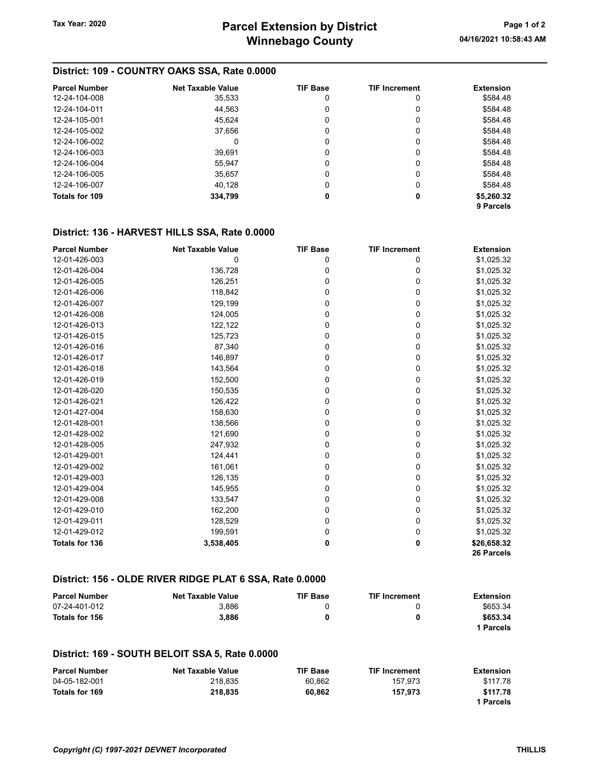## District: 109 - COUNTRY OAKS SSA, Rate 0.0000

| <b>Parcel Number</b> | <b>Net Taxable Value</b> | <b>TIF Base</b> | <b>TIF Increment</b> | <b>Extension</b> |
|----------------------|--------------------------|-----------------|----------------------|------------------|
| 12-24-104-008        | 35,533                   | 0               | 0                    | \$584.48         |
| 12-24-104-011        | 44.563                   | 0               | 0                    | \$584.48         |
| 12-24-105-001        | 45.624                   | 0               | 0                    | \$584.48         |
| 12-24-105-002        | 37,656                   | 0               | 0                    | \$584.48         |
| 12-24-106-002        |                          | 0               | 0                    | \$584.48         |
| 12-24-106-003        | 39.691                   | 0               | 0                    | \$584.48         |
| 12-24-106-004        | 55,947                   | 0               | 0                    | \$584.48         |
| 12-24-106-005        | 35,657                   | 0               | 0                    | \$584.48         |
| 12-24-106-007        | 40.128                   | 0               | 0                    | \$584.48         |
| Totals for 109       | 334,799                  | 0               | 0                    | \$5,260.32       |
|                      |                          |                 |                      | 9 Parcels        |

## District: 136 - HARVEST HILLS SSA, Rate 0.0000

| <b>Parcel Number</b>  | <b>Net Taxable Value</b> | <b>TIF Base</b> | <b>TIF Increment</b> | <b>Extension</b> |
|-----------------------|--------------------------|-----------------|----------------------|------------------|
| 12-01-426-003         | 0                        | 0               | 0                    | \$1,025.32       |
| 12-01-426-004         | 136,728                  | 0               | 0                    | \$1,025.32       |
| 12-01-426-005         | 126,251                  | 0               | 0                    | \$1,025.32       |
| 12-01-426-006         | 118,842                  | 0               | 0                    | \$1,025.32       |
| 12-01-426-007         | 129,199                  | 0               | 0                    | \$1,025.32       |
| 12-01-426-008         | 124,005                  | 0               | 0                    | \$1,025.32       |
| 12-01-426-013         | 122,122                  | 0               | 0                    | \$1,025.32       |
| 12-01-426-015         | 125,723                  | 0               | 0                    | \$1,025.32       |
| 12-01-426-016         | 87,340                   | 0               | 0                    | \$1,025.32       |
| 12-01-426-017         | 146,897                  | 0               | 0                    | \$1,025.32       |
| 12-01-426-018         | 143,564                  | 0               | 0                    | \$1,025.32       |
| 12-01-426-019         | 152,500                  | 0               | 0                    | \$1,025.32       |
| 12-01-426-020         | 150,535                  | 0               | 0                    | \$1,025.32       |
| 12-01-426-021         | 126,422                  | 0               | 0                    | \$1,025.32       |
| 12-01-427-004         | 158,630                  | 0               | 0                    | \$1,025.32       |
| 12-01-428-001         | 138,566                  | 0               | 0                    | \$1,025.32       |
| 12-01-428-002         | 121,690                  | 0               | 0                    | \$1,025.32       |
| 12-01-428-005         | 247,932                  | 0               | 0                    | \$1,025.32       |
| 12-01-429-001         | 124,441                  | 0               | 0                    | \$1,025.32       |
| 12-01-429-002         | 161,061                  | 0               | 0                    | \$1,025.32       |
| 12-01-429-003         | 126,135                  | 0               | 0                    | \$1,025.32       |
| 12-01-429-004         | 145,955                  | 0               | 0                    | \$1,025.32       |
| 12-01-429-008         | 133,547                  | 0               | 0                    | \$1,025.32       |
| 12-01-429-010         | 162,200                  | 0               | 0                    | \$1,025.32       |
| 12-01-429-011         | 128,529                  | 0               | 0                    | \$1,025.32       |
| 12-01-429-012         | 199,591                  | 0               | $\Omega$             | \$1,025.32       |
| <b>Totals for 136</b> | 3,538,405                | 0               | 0                    | \$26,658.32      |
|                       |                          |                 |                      | 26 Parcels       |

## District: 156 - OLDE RIVER RIDGE PLAT 6 SSA, Rate 0.0000

| <b>Parcel Number</b> | <b>Net Taxable Value</b> | <b>TIF Base</b> | <b>TIF Increment</b> | Extension |
|----------------------|--------------------------|-----------------|----------------------|-----------|
| 07-24-401-012        | 3.886                    |                 |                      | \$653.34  |
| Totals for 156       | 3.886                    |                 | 0                    | \$653.34  |
|                      |                          |                 |                      | 1 Parcels |

## District: 169 - SOUTH BELOIT SSA 5, Rate 0.0000

| <b>Parcel Number</b> | <b>Net Taxable Value</b> | <b>TIF Base</b> | <b>TIF Increment</b> | Extension |
|----------------------|--------------------------|-----------------|----------------------|-----------|
| 04-05-182-001        | 218.835                  | 60.862          | 157.973              | \$117.78  |
| Totals for 169       | 218.835                  | 60.862          | 157.973              | \$117.78  |
|                      |                          |                 |                      | 1 Parcels |